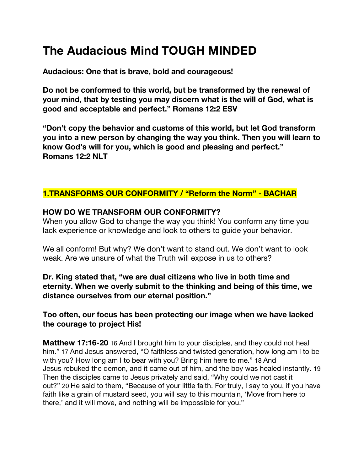# **The Audacious Mind TOUGH MINDED**

**Audacious: One that is brave, bold and courageous!**

**Do not be conformed to this world, but be transformed by the renewal of your mind, that by testing you may discern what is the will of God, what is good and acceptable and perfect." Romans 12:2 ESV**

**"Don't copy the behavior and customs of this world, but let God transform you into a new person by changing the way you think. Then you will learn to know God's will for you, which is good and pleasing and perfect." Romans 12:2 NLT**

# **1.TRANSFORMS OUR CONFORMITY / "Reform the Norm" - BACHAR**

#### **HOW DO WE TRANSFORM OUR CONFORMITY?**

When you allow God to change the way you think! You conform any time you lack experience or knowledge and look to others to guide your behavior.

We all conform! But why? We don't want to stand out. We don't want to look weak. Are we unsure of what the Truth will expose in us to others?

**Dr. King stated that, "we are dual citizens who live in both time and eternity. When we overly submit to the thinking and being of this time, we distance ourselves from our eternal position."**

#### **Too often, our focus has been protecting our image when we have lacked the courage to project His!**

**Matthew 17:16-20** 16 And I brought him to your disciples, and they could not heal him." 17 And Jesus answered, "O faithless and twisted generation, how long am I to be with you? How long am I to bear with you? Bring him here to me." 18 And Jesus rebuked the demon, and it came out of him, and the boy was healed instantly. 19 Then the disciples came to Jesus privately and said, "Why could we not cast it out?" 20 He said to them, "Because of your little faith. For truly, I say to you, if you have faith like a grain of mustard seed, you will say to this mountain, 'Move from here to there,' and it will move, and nothing will be impossible for you."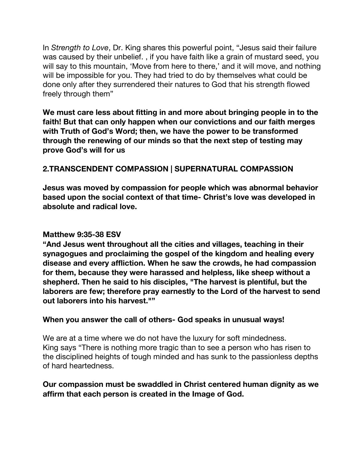In *Strength to Love*, Dr. King shares this powerful point, "Jesus said their failure was caused by their unbelief. , if you have faith like a grain of mustard seed, you will say to this mountain, 'Move from here to there,' and it will move, and nothing will be impossible for you. They had tried to do by themselves what could be done only after they surrendered their natures to God that his strength flowed freely through them"

**We must care less about fitting in and more about bringing people in to the faith! But that can only happen when our convictions and our faith merges with Truth of God's Word; then, we have the power to be transformed through the renewing of our minds so that the next step of testing may prove God's will for us**

# **2.TRANSCENDENT COMPASSION | SUPERNATURAL COMPASSION**

**Jesus was moved by compassion for people which was abnormal behavior based upon the social context of that time- Christ's love was developed in absolute and radical love.**

## **Matthew 9:35-38 ESV**

**"And Jesus went throughout all the cities and villages, teaching in their synagogues and proclaiming the gospel of the kingdom and healing every disease and every affliction. When he saw the crowds, he had compassion for them, because they were harassed and helpless, like sheep without a shepherd. Then he said to his disciples, "The harvest is plentiful, but the laborers are few; therefore pray earnestly to the Lord of the harvest to send out laborers into his harvest.""**

#### **When you answer the call of others- God speaks in unusual ways!**

We are at a time where we do not have the luxury for soft mindedness. King says "There is nothing more tragic than to see a person who has risen to the disciplined heights of tough minded and has sunk to the passionless depths of hard heartedness.

## **Our compassion must be swaddled in Christ centered human dignity as we affirm that each person is created in the Image of God.**